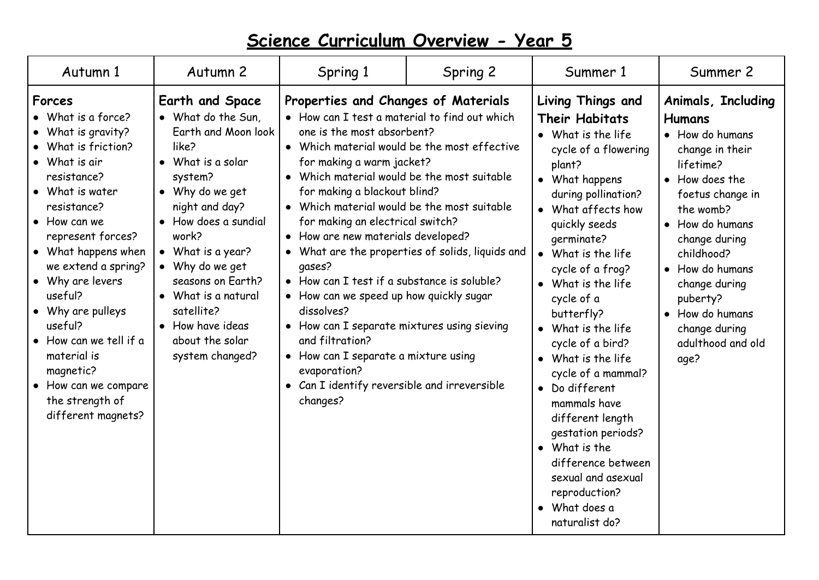| Autumn 1                                                                                                                                                                                                                                                                                                                                                                                                                     | Autumn 2                                                                                                                                                                                                                                                                                                                                       | Spring 1                                                                                                                                                                                                                                                                                                                                                                                                                                                                                                                                                                                                                                                                | Spring 2                                                                                       | Summer 1                                                                                                                                                                                                                                                                                                                                                                                                                                                                                                                                                                               | Summer 2                                                                                                                                                                                                                                                                                                            |
|------------------------------------------------------------------------------------------------------------------------------------------------------------------------------------------------------------------------------------------------------------------------------------------------------------------------------------------------------------------------------------------------------------------------------|------------------------------------------------------------------------------------------------------------------------------------------------------------------------------------------------------------------------------------------------------------------------------------------------------------------------------------------------|-------------------------------------------------------------------------------------------------------------------------------------------------------------------------------------------------------------------------------------------------------------------------------------------------------------------------------------------------------------------------------------------------------------------------------------------------------------------------------------------------------------------------------------------------------------------------------------------------------------------------------------------------------------------------|------------------------------------------------------------------------------------------------|----------------------------------------------------------------------------------------------------------------------------------------------------------------------------------------------------------------------------------------------------------------------------------------------------------------------------------------------------------------------------------------------------------------------------------------------------------------------------------------------------------------------------------------------------------------------------------------|---------------------------------------------------------------------------------------------------------------------------------------------------------------------------------------------------------------------------------------------------------------------------------------------------------------------|
| Forces<br>• What is a force?<br>• What is gravity?<br>• What is friction?<br>• What is air<br>resistance?<br>• What is water<br>resistance?<br>$\bullet$ How can we<br>represent forces?<br>• What happens when<br>we extend a spring?<br>• Why are levers<br>useful?<br>• Why are pulleys<br>useful?<br>• How can we tell if a<br>material is<br>magnetic?<br>• How can we compare<br>the strength of<br>different magnets? | <b>Earth and Space</b><br>• What do the Sun,<br>Earth and Moon look<br>like?<br>• What is a solar<br>system?<br>• Why do we get<br>night and day?<br>• How does a sundial<br>work?<br>• What is a year?<br>• Why do we get<br>seasons on Earth?<br>• What is a natural<br>satellite?<br>• How have ideas<br>about the solar<br>system changed? | Properties and Changes of Materials<br>• How can I test a material to find out which<br>one is the most absorbent?<br>for making a warm jacket?<br>• Which material would be the most suitable<br>for making a blackout blind?<br>• Which material would be the most suitable<br>for making an electrical switch?<br>• How are new materials developed?<br>qases?<br>• How can I test if a substance is soluble?<br>• How can we speed up how quickly sugar<br>dissolves?<br>• How can I separate mixtures using sieving<br>and filtration?<br>$\bullet$ How can I separate a mixture using<br>evaporation?<br>• Can I identify reversible and irreversible<br>changes? | Which material would be the most effective<br>• What are the properties of solids, liquids and | <b>Living Things and</b><br><b>Their Habitats</b><br>• What is the life<br>cycle of a flowering<br>plant?<br>• What happens<br>during pollination?<br>• What affects how<br>quickly seeds<br>qerminate?<br>• What is the life<br>cycle of a frog?<br>• What is the life<br>cycle of a<br>butterfly?<br>• What is the life<br>cycle of a bird?<br>• What is the life<br>cycle of a mammal?<br>• Do different<br>mammals have<br>different length<br>gestation periods?<br>• What is the<br>difference between<br>sexual and asexual<br>reproduction?<br>• What does a<br>naturalist do? | <b>Animals, Including</b><br><b>Humans</b><br>• How do humans<br>change in their<br>lifetime?<br>• How does the<br>foetus change in<br>the womb?<br>• How do humans<br>change during<br>childhood?<br>• How do humans<br>change during<br>puberty?<br>• How do humans<br>change during<br>adulthood and old<br>age? |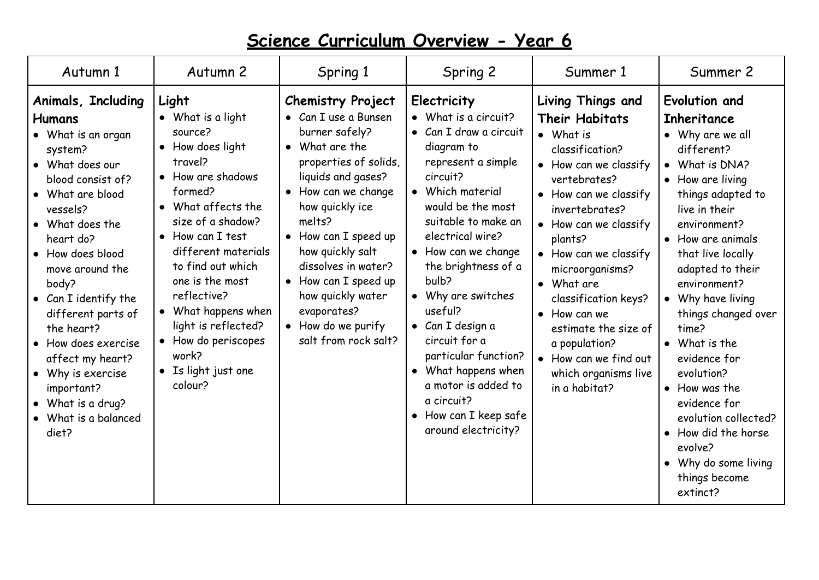| Autumn 1                                                                                                                                                                                                                                                                                                                                                                                                                   | Autumn <sub>2</sub>                                                                                                                                                                                                                                                                                                                                               | Spring 1                                                                                                                                                                                                                                                                                                                                                             | Spring 2                                                                                                                                                                                                                                                                                                                                                                                                                                                           | Summer 1                                                                                                                                                                                                                                                                                                                                                                                                                | Summer 2                                                                                                                                                                                                                                                                                                                                                                                                                                                                                          |
|----------------------------------------------------------------------------------------------------------------------------------------------------------------------------------------------------------------------------------------------------------------------------------------------------------------------------------------------------------------------------------------------------------------------------|-------------------------------------------------------------------------------------------------------------------------------------------------------------------------------------------------------------------------------------------------------------------------------------------------------------------------------------------------------------------|----------------------------------------------------------------------------------------------------------------------------------------------------------------------------------------------------------------------------------------------------------------------------------------------------------------------------------------------------------------------|--------------------------------------------------------------------------------------------------------------------------------------------------------------------------------------------------------------------------------------------------------------------------------------------------------------------------------------------------------------------------------------------------------------------------------------------------------------------|-------------------------------------------------------------------------------------------------------------------------------------------------------------------------------------------------------------------------------------------------------------------------------------------------------------------------------------------------------------------------------------------------------------------------|---------------------------------------------------------------------------------------------------------------------------------------------------------------------------------------------------------------------------------------------------------------------------------------------------------------------------------------------------------------------------------------------------------------------------------------------------------------------------------------------------|
| Animals, Including<br><b>Humans</b><br>• What is an organ<br>system?<br>• What does our<br>blood consist of?<br>• What are blood<br>vessels?<br>• What does the<br>heart do?<br>• How does blood<br>move around the<br>body?<br>• Can I identify the<br>different parts of<br>the heart?<br>• How does exercise<br>affect my heart?<br>• Why is exercise<br>important?<br>What is a drug?<br>• What is a balanced<br>diet? | Light<br>• What is a light<br>source?<br>• How does light<br>travel?<br>• How are shadows<br>formed?<br>• What affects the<br>size of a shadow?<br>• How can I test<br>different materials<br>to find out which<br>one is the most<br>reflective?<br>• What happens when<br>light is reflected?<br>• How do periscopes<br>work?<br>• Is light just one<br>colour? | <b>Chemistry Project</b><br>• Can I use a Bunsen<br>burner safely?<br>• What are the<br>properties of solids,<br>liquids and gases?<br>• How can we change<br>how quickly ice<br>melts?<br>• How can I speed up<br>how quickly salt<br>dissolves in water?<br>• How can I speed up<br>how quickly water<br>evaporates?<br>• How do we purify<br>salt from rock salt? | Electricity<br>• What is a circuit?<br>• Can I draw a circuit<br>diagram to<br>represent a simple<br>circuit?<br>• Which material<br>would be the most<br>suitable to make an<br>electrical wire?<br>• How can we change<br>the brightness of a<br>bulb?<br>• Why are switches<br>useful?<br>• Can I design a<br>circuit for a<br>particular function?<br>• What happens when<br>a motor is added to<br>a circuit?<br>• How can I keep safe<br>around electricity? | Living Things and<br><b>Their Habitats</b><br>• What is<br>classification?<br>• How can we classify<br>vertebrates?<br>• How can we classify<br>invertebrates?<br>• How can we classify<br>plants?<br>• How can we classify<br>microorganisms?<br>• What are<br>classification keys?<br>$\bullet$ How can we<br>estimate the size of<br>a population?<br>• How can we find out<br>which organisms live<br>in a habitat? | Evolution and<br><b>Inheritance</b><br>• Why are we all<br>different?<br>• What is DNA?<br>• How are living<br>things adapted to<br>live in their<br>environment?<br>• How are animals<br>that live locally<br>adapted to their<br>environment?<br>• Why have living<br>things changed over<br>time?<br>• What is the<br>evidence for<br>evolution?<br>• How was the<br>evidence for<br>evolution collected?<br>• How did the horse<br>evolve?<br>Why do some living<br>things become<br>extinct? |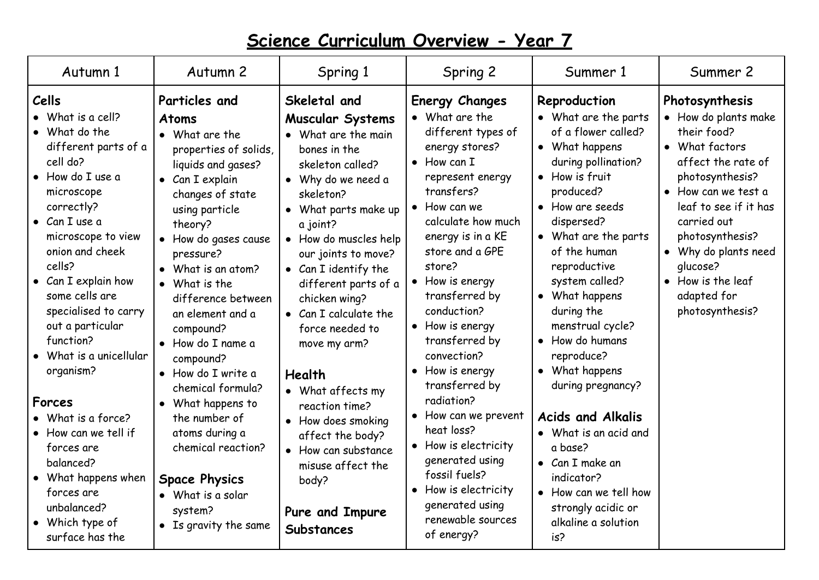| Autumn 1                                                                                                                                                                                                                                                                                                                                                                                                                                                                                                                                        | Autumn 2                                                                                                                                                                                                                                                                                                                                                                                                                                                                                                                                                | Spring 1                                                                                                                                                                                                                                                                                                                                                                                                                                                                                                                                | Spring 2                                                                                                                                                                                                                                                                                                                                                                                                                                                                                                                                                                            | Summer 1                                                                                                                                                                                                                                                                                                                                                                                                                                                                                                                                                         | Summer 2                                                                                                                                                                                                                                                                                      |
|-------------------------------------------------------------------------------------------------------------------------------------------------------------------------------------------------------------------------------------------------------------------------------------------------------------------------------------------------------------------------------------------------------------------------------------------------------------------------------------------------------------------------------------------------|---------------------------------------------------------------------------------------------------------------------------------------------------------------------------------------------------------------------------------------------------------------------------------------------------------------------------------------------------------------------------------------------------------------------------------------------------------------------------------------------------------------------------------------------------------|-----------------------------------------------------------------------------------------------------------------------------------------------------------------------------------------------------------------------------------------------------------------------------------------------------------------------------------------------------------------------------------------------------------------------------------------------------------------------------------------------------------------------------------------|-------------------------------------------------------------------------------------------------------------------------------------------------------------------------------------------------------------------------------------------------------------------------------------------------------------------------------------------------------------------------------------------------------------------------------------------------------------------------------------------------------------------------------------------------------------------------------------|------------------------------------------------------------------------------------------------------------------------------------------------------------------------------------------------------------------------------------------------------------------------------------------------------------------------------------------------------------------------------------------------------------------------------------------------------------------------------------------------------------------------------------------------------------------|-----------------------------------------------------------------------------------------------------------------------------------------------------------------------------------------------------------------------------------------------------------------------------------------------|
| Cells<br>$\bullet$ What is a cell?<br>• What do the<br>different parts of a<br>cell do?<br>• How do I use a<br>microscope<br>correctly?<br>$\bullet$ Can I use a<br>microscope to view<br>onion and cheek<br>cells?<br>• Can I explain how<br>some cells are<br>specialised to carry<br>out a particular<br>function?<br>What is a unicellular<br>organism?<br><b>Forces</b><br>• What is a force?<br>• How can we tell if<br>forces are<br>balanced?<br>• What happens when<br>forces are<br>unbalanced?<br>• Which type of<br>surface has the | Particles and<br><b>Atoms</b><br>• What are the<br>properties of solids,<br>liquids and gases?<br>$\bullet$ Can I explain<br>changes of state<br>using particle<br>theory?<br>• How do gases cause<br>pressure?<br>What is an atom?<br>• What is the<br>difference between<br>an element and a<br>compound?<br>• How do I name a<br>compound?<br>• How do I write a<br>chemical formula?<br>• What happens to<br>the number of<br>atoms during a<br>chemical reaction?<br><b>Space Physics</b><br>• What is a solar<br>system?<br>• Is gravity the same | Skeletal and<br><b>Muscular Systems</b><br>• What are the main<br>bones in the<br>skeleton called?<br>· Why do we need a<br>skeleton?<br>• What parts make up<br>a joint?<br>• How do muscles help<br>our joints to move?<br>• Can I identify the<br>different parts of a<br>chicken wing?<br>• Can I calculate the<br>force needed to<br>move my arm?<br>Health<br>• What affects my<br>reaction time?<br>• How does smoking<br>affect the body?<br>• How can substance<br>misuse affect the<br>body?<br>Pure and Impure<br>Substances | <b>Energy Changes</b><br>• What are the<br>different types of<br>energy stores?<br>$\bullet$ How can I<br>represent energy<br>transfers?<br>$\bullet$ How can we<br>calculate how much<br>energy is in a KE<br>store and a GPE<br>store?<br>• How is energy<br>transferred by<br>conduction?<br>• How is energy<br>transferred by<br>convection?<br>• How is energy<br>transferred by<br>radiation?<br>• How can we prevent<br>heat loss?<br>• How is electricity<br>generated using<br>fossil fuels?<br>• How is electricity<br>generated using<br>renewable sources<br>of energy? | Reproduction<br>• What are the parts<br>of a flower called?<br>• What happens<br>during pollination?<br>• How is fruit<br>produced?<br>• How are seeds<br>dispersed?<br>• What are the parts<br>of the human<br>reproductive<br>system called?<br>• What happens<br>during the<br>menstrual cycle?<br>• How do humans<br>reproduce?<br>• What happens<br>during pregnancy?<br><b>Acids and Alkalis</b><br>• What is an acid and<br>a base?<br>$\bullet$ Can I make an<br>indicator?<br>• How can we tell how<br>strongly acidic or<br>alkaline a solution<br>is? | Photosynthesis<br>• How do plants make<br>their food?<br>• What factors<br>affect the rate of<br>photosynthesis?<br>• How can we test a<br>leaf to see if it has<br>carried out<br>photosynthesis?<br>• Why do plants need<br>qlucose?<br>• How is the leaf<br>adapted for<br>photosynthesis? |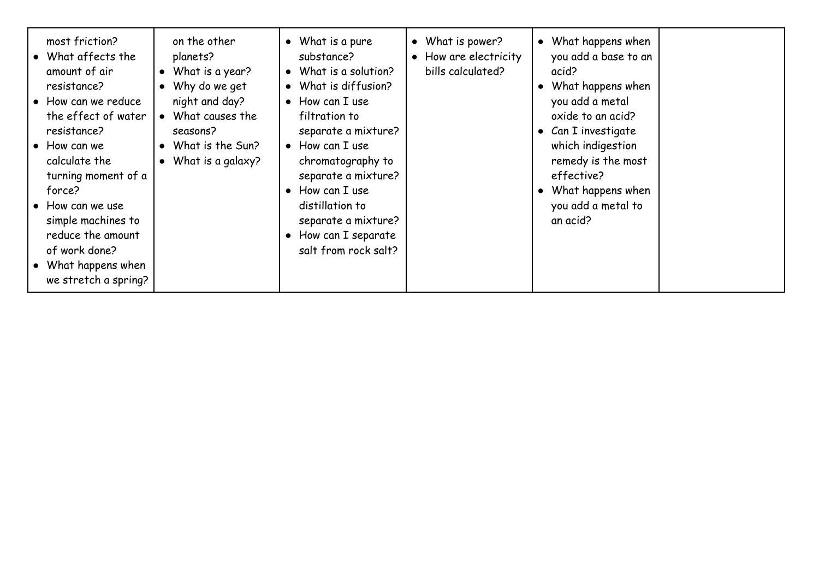| most friction?<br>on the other<br>• What affects the<br>planets?<br>What is a year?<br>amount of air<br>$\bullet$<br>• Why do we get<br>resistance?<br>night and day?<br>• How can we reduce<br>• What causes the<br>the effect of water<br>resistance?<br>seasons?<br>What is the Sun?<br>$\bullet$ How can we<br>$\bullet$<br>calculate the<br>What is a galaxy?<br>$\bullet$<br>turning moment of a<br>force?<br>• How can we use<br>simple machines to<br>reduce the amount<br>of work done?<br>• What happens when<br>we stretch a spring? | • What is a pure<br>• What is power?<br>• How are electricity<br>substance?<br>bills calculated?<br>What is a solution?<br>$\bullet$<br>What is diffusion?<br>$\bullet$<br>$\bullet$ How can I use<br>filtration to<br>separate a mixture?<br>$\bullet$ How can I use<br>chromatography to<br>separate a mixture?<br>How can I use<br>$\bullet$<br>distillation to<br>separate a mixture?<br>• How can I separate<br>salt from rock salt? | • What happens when<br>you add a base to an<br>acid?<br>What happens when<br>you add a metal<br>oxide to an acid?<br>• Can I investigate<br>which indigestion<br>remedy is the most<br>effective?<br>What happens when<br>you add a metal to<br>an acid? |
|-------------------------------------------------------------------------------------------------------------------------------------------------------------------------------------------------------------------------------------------------------------------------------------------------------------------------------------------------------------------------------------------------------------------------------------------------------------------------------------------------------------------------------------------------|-------------------------------------------------------------------------------------------------------------------------------------------------------------------------------------------------------------------------------------------------------------------------------------------------------------------------------------------------------------------------------------------------------------------------------------------|----------------------------------------------------------------------------------------------------------------------------------------------------------------------------------------------------------------------------------------------------------|
|-------------------------------------------------------------------------------------------------------------------------------------------------------------------------------------------------------------------------------------------------------------------------------------------------------------------------------------------------------------------------------------------------------------------------------------------------------------------------------------------------------------------------------------------------|-------------------------------------------------------------------------------------------------------------------------------------------------------------------------------------------------------------------------------------------------------------------------------------------------------------------------------------------------------------------------------------------------------------------------------------------|----------------------------------------------------------------------------------------------------------------------------------------------------------------------------------------------------------------------------------------------------------|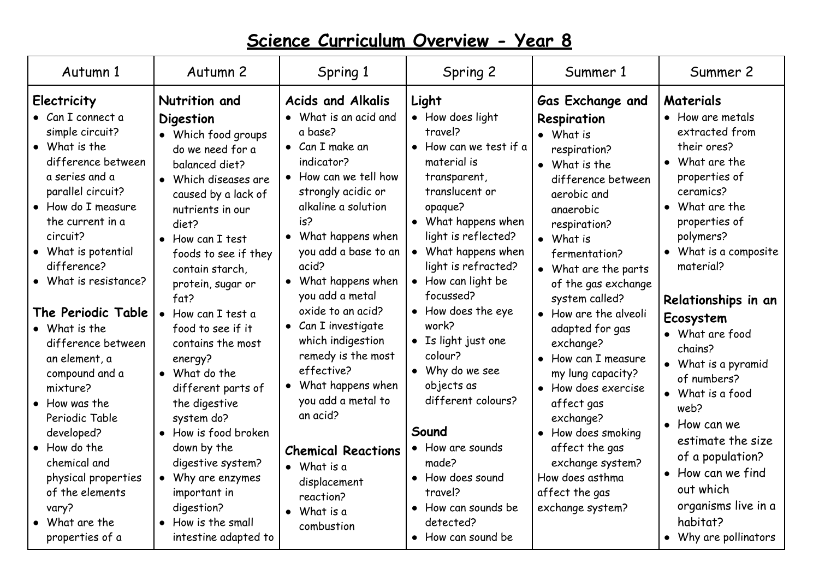| Autumn 1                                                                                                                                                                                                                                                                                                                                                                                                                                                                                                                                                  | Autumn <sub>2</sub>                                                                                                                                                                                                                                                                                                                                                                                                                                                                                                                                                                             | Spring 1                                                                                                                                                                                                                                                                                                                                                                                                                                                                                                                                                               | Spring 2                                                                                                                                                                                                                                                                                                                                                                                                                                                                                                         | Summer 1                                                                                                                                                                                                                                                                                                                                                                                                                                                                                                                        | Summer 2                                                                                                                                                                                                                                                                                                                                                                                                                                                                                                |
|-----------------------------------------------------------------------------------------------------------------------------------------------------------------------------------------------------------------------------------------------------------------------------------------------------------------------------------------------------------------------------------------------------------------------------------------------------------------------------------------------------------------------------------------------------------|-------------------------------------------------------------------------------------------------------------------------------------------------------------------------------------------------------------------------------------------------------------------------------------------------------------------------------------------------------------------------------------------------------------------------------------------------------------------------------------------------------------------------------------------------------------------------------------------------|------------------------------------------------------------------------------------------------------------------------------------------------------------------------------------------------------------------------------------------------------------------------------------------------------------------------------------------------------------------------------------------------------------------------------------------------------------------------------------------------------------------------------------------------------------------------|------------------------------------------------------------------------------------------------------------------------------------------------------------------------------------------------------------------------------------------------------------------------------------------------------------------------------------------------------------------------------------------------------------------------------------------------------------------------------------------------------------------|---------------------------------------------------------------------------------------------------------------------------------------------------------------------------------------------------------------------------------------------------------------------------------------------------------------------------------------------------------------------------------------------------------------------------------------------------------------------------------------------------------------------------------|---------------------------------------------------------------------------------------------------------------------------------------------------------------------------------------------------------------------------------------------------------------------------------------------------------------------------------------------------------------------------------------------------------------------------------------------------------------------------------------------------------|
| Electricity<br>• Can I connect a<br>simple circuit?<br>$\bullet$ What is the<br>difference between<br>a series and a<br>parallel circuit?<br>• How do I measure<br>the current in a<br>circuit?<br>• What is potential<br>difference?<br>What is resistance?<br>The Periodic Table<br>• What is the<br>difference between<br>an element, a<br>compound and a<br>mixture?<br>$\bullet$ How was the<br>Periodic Table<br>developed?<br>• How do the<br>chemical and<br>physical properties<br>of the elements<br>vary?<br>• What are the<br>properties of a | Nutrition and<br><b>Digestion</b><br>• Which food groups<br>do we need for a<br>balanced diet?<br>Which diseases are<br>$\bullet$<br>caused by a lack of<br>nutrients in our<br>diet?<br>• How can I test<br>foods to see if they<br>contain starch,<br>protein, sugar or<br>fat?<br>• How can I test a<br>food to see if it<br>contains the most<br>energy?<br>• What do the<br>different parts of<br>the digestive<br>system do?<br>• How is food broken<br>down by the<br>digestive system?<br>• Why are enzymes<br>important in<br>digestion?<br>• How is the small<br>intestine adapted to | <b>Acids and Alkalis</b><br>• What is an acid and<br>a base?<br>$\bullet$ Can I make an<br>indicator?<br>• How can we tell how<br>strongly acidic or<br>alkaline a solution<br>is?<br>What happens when<br>you add a base to an<br>acid?<br>• What happens when<br>you add a metal<br>oxide to an acid?<br>• Can I investigate<br>which indigestion<br>remedy is the most<br>effective?<br>• What happens when<br>you add a metal to<br>an acid?<br><b>Chemical Reactions</b><br>$\bullet$ What is a<br>displacement<br>reaction?<br>$\bullet$ What is a<br>combustion | Light<br>• How does light<br>travel?<br>• How can we test if a<br>material is<br>transparent,<br>translucent or<br>opaque?<br>• What happens when<br>light is reflected?<br>• What happens when<br>light is refracted?<br>• How can light be<br>focussed?<br>• How does the eye<br>work?<br>• Is light just one<br>colour?<br>• Why do we see<br>objects as<br>different colours?<br>Sound<br>• How are sounds<br>made?<br>• How does sound<br>travel?<br>• How can sounds be<br>detected?<br>• How can sound be | <b>Gas Exchange and</b><br>Respiration<br>• What is<br>respiration?<br>• What is the<br>difference between<br>aerobic and<br>anaerobic<br>respiration?<br>• What is<br>fermentation?<br>• What are the parts<br>of the gas exchange<br>system called?<br>• How are the alveoli<br>adapted for gas<br>exchange?<br>How can I measure<br>my lung capacity?<br>• How does exercise<br>affect gas<br>exchange?<br>• How does smoking<br>affect the gas<br>exchange system?<br>How does asthma<br>affect the gas<br>exchange system? | Materials<br>• How are metals<br>extracted from<br>their ores?<br>• What are the<br>properties of<br>ceramics?<br>• What are the<br>properties of<br>polymers?<br>• What is a composite<br>material?<br>Relationships in an<br>Ecosystem<br>• What are food<br>chains?<br>• What is a pyramid<br>of numbers?<br>• What is a food<br>web?<br>$\bullet$ How can we<br>estimate the size<br>of a population?<br>• How can we find<br>out which<br>organisms live in a<br>habitat?<br>• Why are pollinators |